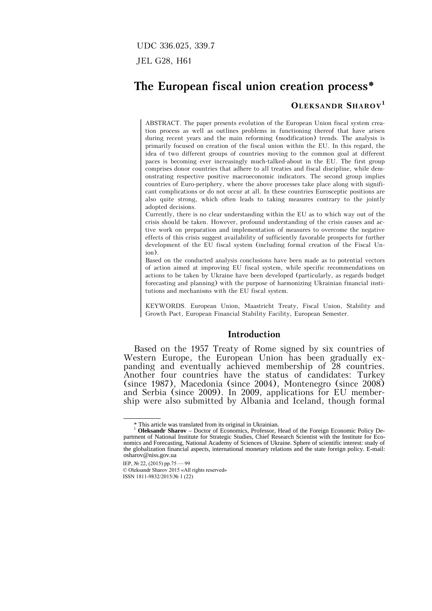UDC 336.025, 339.7

JEL G28, H61

# **The European fiscal union creation process\***

## **OLEKSANDR SHAROV<sup>1</sup>**

ABSTRACT. The paper presents evolution of the European Union fiscal system creation process as well as outlines problems in functioning thereof that have arisen during recent years and the main reforming (modification) trends. The analysis is primarily focused on creation of the fiscal union within the EU. In this regard, the idea of two different groups of countries moving to the common goal at different paces is becoming ever increasingly much-talked-about in the EU. The first group comprises donor countries that adhere to all treaties and fiscal discipline, while demonstrating respective positive macroeconomic indicators. The second group implies countries of Euro-periphery, where the above processes take place along with significant complications or do not occur at all. In these countries Eurosceptic positions are also quite strong, which often leads to taking measures contrary to the jointly adopted decisions.

Currently, there is no clear understanding within the EU as to which way out of the crisis should be taken. However, profound understanding of the crisis causes and active work on preparation and implementation of measures to overcome the negative effects of this crisis suggest availability of sufficiently favorable prospects for further development of the EU fiscal system (including formal creation of the Fiscal Union).

Based on the conducted analysis conclusions have been made as to potential vectors of action aimed at improving EU fiscal system, while specific recommendations on actions to be taken by Ukraine have been developed (particularly, as regards budget forecasting and planning) with the purpose of harmonizing Ukrainian financial institutions and mechanisms with the EU fiscal system.

KEYWORDS. European Union, Maastricht Treaty, Fiscal Union, Stability and Growth Pact, European Financial Stability Facility, European Semester.

#### **Introduction**

Based on the 1957 Treaty of Rome signed by six countries of Western Europe, the European Union has been gradually expanding and eventually achieved membership of 28 countries. Another four countries have the status of candidates: Turkey (since 1987), Macedonia (since 2004), Montenegro (since 2008) and Serbia (since 2009). In 2009, applications for EU membership were also submitted by Albania and Iceland, though formal

 <sup>\*</sup> This article was translated from its original in Ukrainian.

<sup>1</sup> **Oleksandr Sharov** – Doctor of Economics, Professor, Head of the Foreign Economic Policy Department of National Institute for Strategic Studies, Chief Research Scientist with the Institute for Economics and Forecasting, National Academy of Sciences of Ukraine. Sphere of scientific interest: study of the globalization financial aspects, international monetary relations and the state foreign policy. E-mail: osharov@niss.gov.ua

IEP, № 22, (2015) pp.75 — 99

<sup>©</sup> Oleksandr Sharov 2015 «All rights reserved» ISSN 1811-9832/2015/№ 1 (22)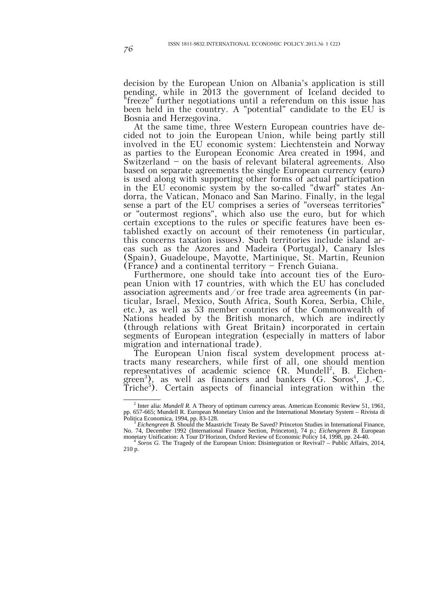decision by the European Union on Albania's application is still pending, while in 2013 the government of Iceland decided to "freeze" further negotiations until a referendum on this issue has been held in the country. A "potential" candidate to the EU is Bosnia and Herzegovina.

At the same time, three Western European countries have decided not to join the European Union, while being partly still involved in the EU economic system: Liechtenstein and Norway as parties to the European Economic Area created in 1994, and Switzerland — on the basis of relevant bilateral agreements. Also based on separate agreements the single European currency (euro) is used along with supporting other forms of actual participation in the EU economic system by the so-called "dwarf" states Andorra, the Vatican, Monaco and San Marino. Finally, in the legal sense a part of the EU comprises a series of "overseas territories" or "outermost regions", which also use the euro, but for which certain exceptions to the rules or specific features have been established exactly on account of their remoteness (in particular, this concerns taxation issues). Such territories include island areas such as the Azores and Madeira (Portugal), Canary Isles (Spain), Guadeloupe, Mayotte, Martinique, St. Martin, Reunion (France) and a continental territory — French Guiana.

Furthermore, one should take into account ties of the European Union with 17 countries, with which the EU has concluded association agreements and/or free trade area agreements (in particular, Israel, Mexico, South Africa, South Korea, Serbia, Chile, etc.), as well as 53 member countries of the Commonwealth of Nations headed by the British monarch, which are indirectly (through relations with Great Britain) incorporated in certain segments of European integration (especially in matters of labor migration and international trade).

The European Union fiscal system development process attracts many researchers, while first of all, one should mention representatives of academic science (R. Mundell<sup>2</sup>, B. Eichengreen<sup>3</sup>), as well as financiers and bankers (G. Soros<sup>4</sup>, J.-C. Triche<sup>5</sup>). Certain aspects of financial integration within the

 <sup>2</sup> Inter alia: *Mundell R.* A Theory of optimum currency areas. American Economic Review 51, 1961, pp. 657-665; Mundell R. European Monetary Union and the International Monetary System – Rivista di Politica Economica, 1994, pp. 83-128.<br><sup>3</sup> *Eichengreen B.* Should the Maastricht Treaty Be Saved? Princeton Studies in International Finance,

No. 74, December 1992 (International Finance Section, Princeton), 74 p.; *Eichengreen B.* European monetary Unification: A Tour D'Horizon, Oxford Review of Economic Policy 14, 1998, pp. 24-40. <sup>4</sup> *Soros G.* The Tragedy of the European Union: Disintegration or Revival? – Public Affairs, 2014,

<sup>210</sup> p.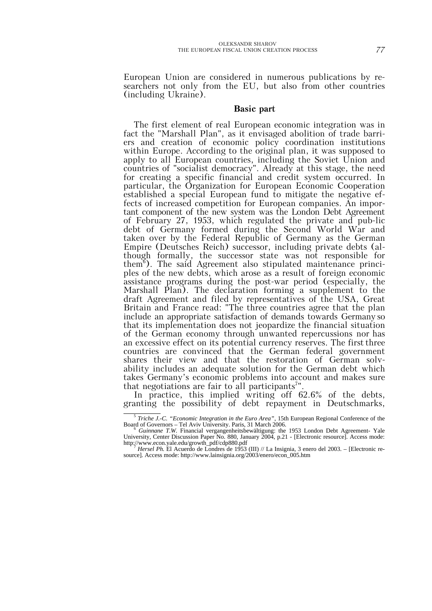European Union are considered in numerous publications by researchers not only from the EU, but also from other countries (including Ukraine).

#### **Basic part**

The first element of real European economic integration was in fact the "Marshall Plan", as it envisaged abolition of trade barriers and creation of economic policy coordination institutions within Europe. According to the original plan, it was supposed to apply to all European countries, including the Soviet Union and countries of "socialist democracy". Already at this stage, the need for creating a specific financial and credit system occurred. In particular, the Organization for European Economic Cooperation established a special European fund to mitigate the negative effects of increased competition for European companies. An important component of the new system was the London Debt Agreement of February 27, 1953, which regulated the private and pub-lic debt of Germany formed during the Second World War and taken over by the Federal Republic of Germany as the German Empire (Deutsches Reich) successor, including private debts (although formally, the successor state was not responsible for them<sup>6</sup>). The said Agreement also stipulated maintenance principles of the new debts, which arose as a result of foreign economic assistance programs during the post-war period (especially, the Marshall Plan). The declaration forming a supplement to the draft Agreement and filed by representatives of the USA, Great Britain and France read: "The three countries agree that the plan include an appropriate satisfaction of demands towards Germany so that its implementation does not jeopardize the financial situation of the German economy through unwanted repercussions nor has an excessive effect on its potential currency reserves. The first three countries are convinced that the German federal government shares their view and that the restoration of German solvability includes an adequate solution for the German debt which takes Germany's economic problems into account and makes sure that negotiations are fair to all participants<sup>7"</sup>.

In practice, this implied writing off 62.6% of the debts, granting the possibility of debt repayment in Deutschmarks,

 <sup>5</sup> *Triche J.-C. "Economic Integration in the Euro Area"*, 15th European Regional Conference of the Board of Governors – Tel Aviv University. Paris, 31 March 2006.<br><sup>6</sup> *Guinnane T.W.* Financial vergangenheitsbewältigung: the 1953 London Debt Agreement- Yale

University, Center Discussion Paper No. 880, January 2004, p.21 - [Electronic resource]. Access mode: http://www.econ.yale.edu/growth\_pdf/cdp880.pdf <sup>7</sup> *Hersel Ph.* El Acuerdo de Londres de 1953 (III) // La Insignia, 3 enero del 2003. – [Electronic re-

source]. Access mode: http://www.lainsignia.org/2003/enero/econ\_005.htm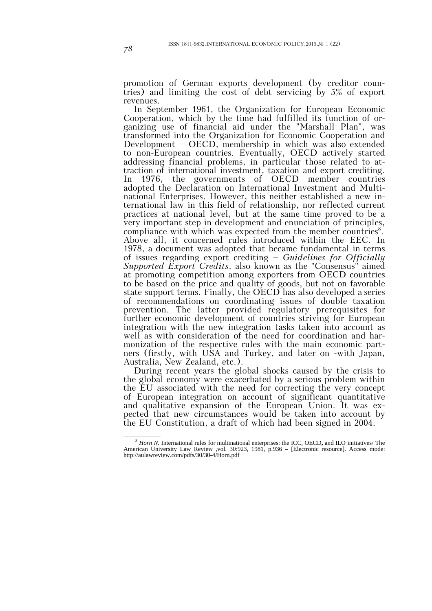promotion of German exports development (by creditor countries) and limiting the cost of debt servicing by 5% of export revenues.

In September 1961, the Organization for European Economic Cooperation, which by the time had fulfilled its function of organizing use of financial aid under the "Marshall Plan", was transformed into the Organization for Economic Cooperation and Development — OECD, membership in which was also extended to non-European countries. Eventually, OECD actively started addressing financial problems, in particular those related to attraction of international investment, taxation and export crediting. In 1976, the governments of OECD member countries adopted the Declaration on International Investment and Multinational Enterprises. However, this neither established a new international law in this field of relationship, nor reflected current practices at national level, but at the same time proved to be a very important step in development and enunciation of principles, compliance with which was expected from the member countries<sup>8</sup>. Above all, it concerned rules introduced within the EEC. In 1978, a document was adopted that became fundamental in terms of issues regarding export crediting — *Guidelines for Officially Supported Export Credits*, also known as the "Consensus" aimed at promoting competition among exporters from OECD countries to be based on the price and quality of goods, but not on favorable state support terms. Finally, the OECD has also developed a series of recommendations on coordinating issues of double taxation prevention. The latter provided regulatory prerequisites for further economic development of countries striving for European integration with the new integration tasks taken into account as well as with consideration of the need for coordination and harmonization of the respective rules with the main economic partners (firstly, with USA and Turkey, and later on -with Japan, Australia, New Zealand, etc.).

During recent years the global shocks caused by the crisis to the global economy were exacerbated by a serious problem within the EU associated with the need for correcting the very concept of European integration on account of significant quantitative and qualitative expansion of the European Union. It was expected that new circumstances would be taken into account by the EU Constitution, a draft of which had been signed in 2004.

 <sup>8</sup> *Horn N.* International rules for multinational enterprises: the ICC, OECD**,** and ILO initiatives/ The American University Law Review ,vol. 30:923, 1981, p.936 – [Electronic resource]. Access mode: http://aulawreview.com/pdfs/30/30-4/Horn.pdf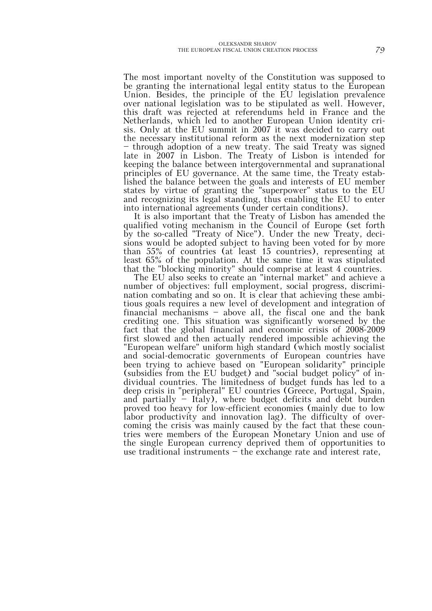The most important novelty of the Constitution was supposed to be granting the international legal entity status to the European Union. Besides, the principle of the EU legislation prevalence over national legislation was to be stipulated as well. However, this draft was rejected at referendums held in France and the Netherlands, which led to another European Union identity crisis. Only at the EU summit in 2007 it was decided to carry out the necessary institutional reform as the next modernization step — through adoption of a new treaty. The said Treaty was signed late in 2007 in Lisbon. The Treaty of Lisbon is intended for keeping the balance between intergovernmental and supranational principles of EU governance. At the same time, the Treaty established the balance between the goals and interests of EU member states by virtue of granting the "superpower" status to the EU and recognizing its legal standing, thus enabling the EU to enter into international agreements (under certain conditions).

It is also important that the Treaty of Lisbon has amended the qualified voting mechanism in the Council of Europe (set forth by the so-called "Treaty of Nice"). Under the new Treaty, decisions would be adopted subject to having been voted for by more than 55% of countries (at least 15 countries), representing at least 65% of the population. At the same time it was stipulated that the "blocking minority" should comprise at least 4 countries.

The EU also seeks to create an "internal market" and achieve a number of objectives: full employment, social progress, discrimination combating and so on. It is clear that achieving these ambitious goals requires a new level of development and integration of financial mechanisms — above all, the fiscal one and the bank crediting one. This situation was significantly worsened by the fact that the global financial and economic crisis of 2008-2009 first slowed and then actually rendered impossible achieving the "European welfare" uniform high standard (which mostly socialist and social-democratic governments of European countries have been trying to achieve based on "European solidarity" principle (subsidies from the EU budget) and "social budget policy" of individual countries. The limitedness of budget funds has led to a deep crisis in "peripheral" EU countries (Greece, Portugal, Spain, and partially — Italy), where budget deficits and debt burden proved too heavy for low-efficient economies (mainly due to low labor productivity and innovation lag). The difficulty of overcoming the crisis was mainly caused by the fact that these countries were members of the European Monetary Union and use of the single European currency deprived them of opportunities to use traditional instruments  $-$  the exchange rate and interest rate,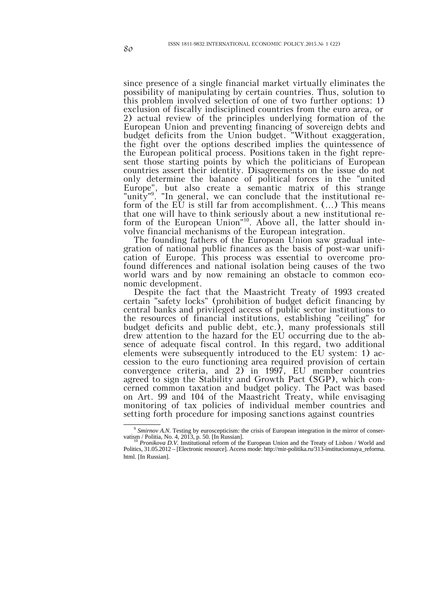since presence of a single financial market virtually eliminates the possibility of manipulating by certain countries. Thus, solution to this problem involved selection of one of two further options: 1) exclusion of fiscally indisciplined countries from the euro area, or 2) actual review of the principles underlying formation of the European Union and preventing financing of sovereign debts and budget deficits from the Union budget. "Without exaggeration, the fight over the options described implies the quintessence of the European political process. Positions taken in the fight represent those starting points by which the politicians of European countries assert their identity. Disagreements on the issue do not only determine the balance of political forces in the "united Europe", but also create a semantic matrix of this strange "unity"<sup>9</sup>. "In general, we can conclude that the institutional reform of the EU is still far from accomplishment. (…) This means that one will have to think seriously about a new institutional reform of the European Union<sup>"10</sup>. Above all, the latter should involve financial mechanisms of the European integration.

The founding fathers of the European Union saw gradual integration of national public finances as the basis of post-war unification of Europe. This process was essential to overcome profound differences and national isolation being causes of the two world wars and by now remaining an obstacle to common economic development.

Despite the fact that the Maastricht Treaty of 1993 created certain "safety locks" (prohibition of budget deficit financing by central banks and privileged access of public sector institutions to the resources of financial institutions, establishing "ceiling" for budget deficits and public debt, etc.), many professionals still drew attention to the hazard for the EU occurring due to the absence of adequate fiscal control. In this regard, two additional elements were subsequently introduced to the EU system: 1) accession to the euro functioning area required provision of certain convergence criteria, and 2) in 1997, EU member countries agreed to sign the Stability and Growth Pact (SGP), which concerned common taxation and budget policy. The Pact was based on Art. 99 and 104 of the Maastricht Treaty, while envisaging monitoring of tax policies of individual member countries and setting forth procedure for imposing sanctions against countries

<sup>&</sup>lt;sup>9</sup> Smirnov A.N. Testing by euroscepticism: the crisis of European integration in the mirror of conservatism / Politia, No. 4, 2013, p. 50. [In Russian].<br><sup>10</sup> *Pronikova D.V.* Institutional reform of the European Union and the Treaty of Lisbon / World and

Politics, 31.05.2012 – [Electronic resource]. Access mode: http://mir-politika.ru/313-institucionnaya\_reforma. html. [In Russian].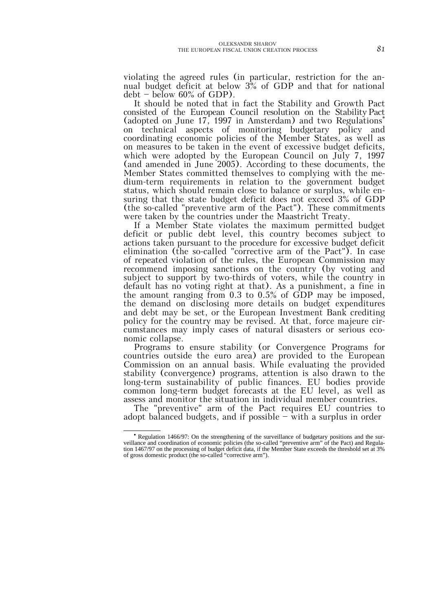violating the agreed rules (in particular, restriction for the annual budget deficit at below 3% of GDP and that for national  $debt - below 60\% of GDP$ .

It should be noted that in fact the Stability and Growth Pact consisted of the European Council resolution on the StabilityPact (adopted on June 17, 1997 in Amsterdam) and two Regulations<sup>∗</sup> on technical aspects of monitoring budgetary policy and coordinating economic policies of the Member States, as well as on measures to be taken in the event of excessive budget deficits, which were adopted by the European Council on July 7, 1997 (and amended in June 2005). According to these documents, the Member States committed themselves to complying with the medium-term requirements in relation to the government budget status, which should remain close to balance or surplus, while ensuring that the state budget deficit does not exceed 3% of GDP (the so-called "preventive arm of the Pact"). These commitments were taken by the countries under the Maastricht Treaty.

If a Member State violates the maximum permitted budget deficit or public debt level, this country becomes subject to actions taken pursuant to the procedure for excessive budget deficit elimination (the so-called "corrective arm of the Pact"). In case of repeated violation of the rules, the European Commission may recommend imposing sanctions on the country (by voting and subject to support by two-thirds of voters, while the country in default has no voting right at that). As a punishment, a fine in the amount ranging from 0.3 to 0.5% of GDP may be imposed, the demand on disclosing more details on budget expenditures and debt may be set, or the European Investment Bank crediting policy for the country may be revised. At that, force majeure circumstances may imply cases of natural disasters or serious economic collapse.

Programs to ensure stability (or Convergence Programs for countries outside the euro area) are provided to the European Commission on an annual basis. While evaluating the provided stability (convergence) programs, attention is also drawn to the long-term sustainability of public finances. EU bodies provide common long-term budget forecasts at the EU level, as well as assess and monitor the situation in individual member countries.

The "preventive" arm of the Pact requires EU countries to adopt balanced budgets, and if possible — with a surplus in order

<sup>•</sup> Regulation 1466/97: On the strengthening of the surveillance of budgetary positions and the surveillance and coordination of economic policies (the so-called "preventive arm" of the Pact) and Regula- tion 1467/97 on the processing of budget deficit data, if the Member State exceeds the threshold set at 3% of gross domestic product (the so-called "corrective arm").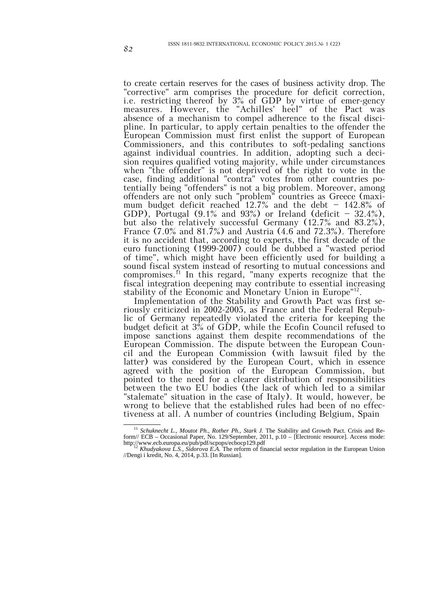to create certain reserves for the cases of business activity drop. The "corrective" arm comprises the procedure for deficit correction, i.e. restricting thereof by 3% of GDP by virtue of emer-gency measures. However, the "Achilles' heel" of the Pact was absence of a mechanism to compel adherence to the fiscal discipline. In particular, to apply certain penalties to the offender the European Commission must first enlist the support of European Commissioners, and this contributes to soft-pedaling sanctions against individual countries. In addition, adopting such a decision requires qualified voting majority, while under circumstances when "the offender" is not deprived of the right to vote in the case, finding additional "contra" votes from other countries potentially being "offenders" is not a big problem. Moreover, among offenders are not only such "problem" countries as Greece (maximum budget deficit reached 12.7% and the debt  $-$  142.8% of GDP), Portugal  $(9.1\%$  and  $93\%)$  or Ireland (deficit  $-32.4\%$ ), but also the relatively successful Germany (12.7% and 83.2%), France  $(7.0\%$  and  $81.7\%)$  and Austria  $(4.6$  and  $72.3\%)$ . Therefore it is no accident that, according to experts, the first decade of the euro functioning (1999-2007) could be dubbed a "wasted period of time", which might have been efficiently used for building a sound fiscal system instead of resorting to mutual concessions and compromises.11 In this regard, "many experts recognize that the fiscal integration deepening may contribute to essential increasing stability of the Economic and Monetary Union in Europe"12.

Implementation of the Stability and Growth Pact was first seriously criticized in 2002-2005, as France and the Federal Republic of Germany repeatedly violated the criteria for keeping the budget deficit at 3% of GDP, while the Ecofin Council refused to impose sanctions against them despite recommendations of the European Commission. The dispute between the European Council and the European Commission (with lawsuit filed by the latter) was considered by the European Court, which in essence agreed with the position of the European Commission, but pointed to the need for a clearer distribution of responsibilities between the two EU bodies (the lack of which led to a similar "stalemate" situation in the case of Italy). It would, however, be wrong to believe that the established rules had been of no effectiveness at all. A number of countries (including Belgium, Spain

<sup>&</sup>lt;sup>11</sup> Schuknecht L., Moutot Ph., Rother Ph., Stark J. The Stability and Growth Pact. Crisis and Reform// ECB – Occasional Paper, No. 129/September, 2011, p.10 – [Electronic resource]. Access mode:

http://www.ecb.europa.eu/pub/pdf/scpops/ecbocp129.pdf<br><sup>12</sup> *Khudyakova L.S., Sidorova E.A.* The reform of financial sector regulation in the European Union //Dengi i kredit, No. 4, 2014, p.33. [In Russian].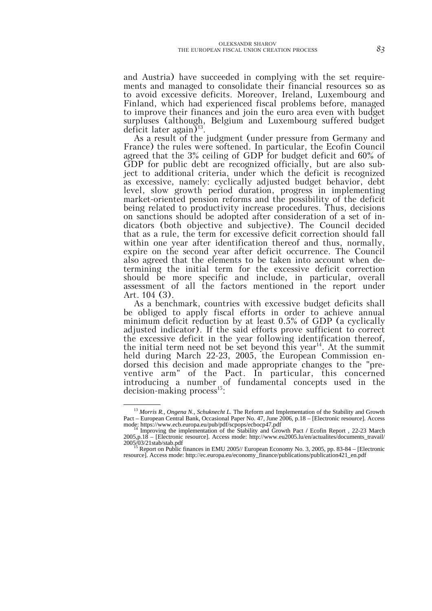and Austria) have succeeded in complying with the set requirements and managed to consolidate their financial resources so as to avoid excessive deficits. Moreover, Ireland, Luxembourg and Finland, which had experienced fiscal problems before, managed to improve their finances and join the euro area even with budget surpluses (although, Belgium and Luxembourg suffered budget deficit later again)<sup>13</sup>.

As a result of the judgment (under pressure from Germany and France) the rules were softened. In particular, the Ecofin Council agreed that the 3% ceiling of GDP for budget deficit and 60% of GDP for public debt are recognized officially, but are also subject to additional criteria, under which the deficit is recognized as excessive, namely: cyclically adjusted budget behavior, debt level, slow growth period duration, progress in implementing market-oriented pension reforms and the possibility of the deficit being related to productivity increase procedures. Thus, decisions on sanctions should be adopted after consideration of a set of indicators (both objective and subjective). The Council decided that as a rule, the term for excessive deficit correction should fall within one year after identification thereof and thus, normally, expire on the second year after deficit occurrence. The Council also agreed that the elements to be taken into account when determining the initial term for the excessive deficit correction should be more specific and include, in particular, overall assessment of all the factors mentioned in the report under Art. 104 (3).

As a benchmark, countries with excessive budget deficits shall be obliged to apply fiscal efforts in order to achieve annual minimum deficit reduction by at least 0.5% of GDP (a cyclically adjusted indicator). If the said efforts prove sufficient to correct the excessive deficit in the year following identification thereof, the initial term need not be set beyond this year<sup>14</sup>. At the summit held during March 22-23, 2005, the European Commission endorsed this decision and made appropriate changes to the "preventive arm" of the Pact. In particular, this concerned introducing a number of fundamental concepts used in the decision-making process<sup>15</sup>:

 <sup>13</sup> *Morris R., Ongena N., Schuknecht L.* The Reform and Implementation of the Stability and Growth Pact – European Central Bank, Occasional Paper No. 47, June 2006, p.18 – [Electronic resource]. Access

mode: https://www.ecb.europa.eu/pub/pdf/scpops/ecbocp47.pdf<br><sup>14</sup> Improving the implementation of the Stability and Growth Pact / Ecofin Report, 22-23 March 2005,p.18 – [Electronic resource]. Access mode: http://www.eu2005.lu/en/actualites/documents\_travail/ 2005/03/21 stab/stab.pdf<br><sup>15</sup> Report on Public finances in EMU 2005// European Economy No. 3, 2005, pp. 83-84 – [Electronic

resource]. Access mode: http://ec.europa.eu/economy\_finance/publications/publication421\_en.pdf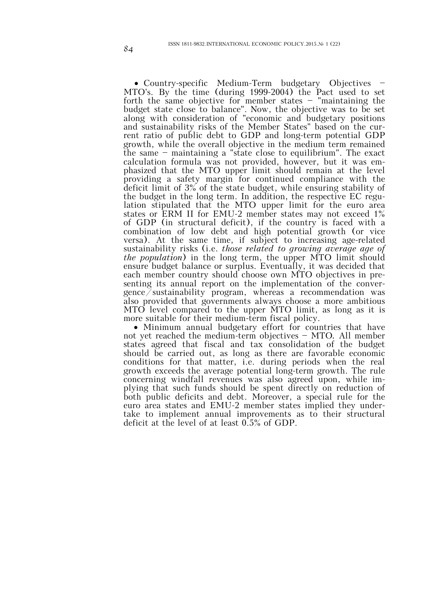• Country-specific Medium-Term budgetary Objectives MTO's. By the time (during 1999-2004) the Pact used to set forth the same objective for member states — "maintaining the budget state close to balance". Now, the objective was to be set along with consideration of "economic and budgetary positions and sustainability risks of the Member States" based on the current ratio of public debt to GDP and long-term potential GDP growth, while the overall objective in the medium term remained the same — maintaining a "state close to equilibrium". The exact calculation formula was not provided, however, but it was emphasized that the MTO upper limit should remain at the level providing a safety margin for continued compliance with the deficit limit of 3% of the state budget, while ensuring stability of the budget in the long term. In addition, the respective EC regulation stipulated that the MTO upper limit for the euro area states or ERM II for EMU-2 member states may not exceed 1% of GDP (in structural deficit), if the country is faced with a combination of low debt and high potential growth (or vice versa). At the same time, if subject to increasing age-related sustainability risks (i.e. *those related to growing average age of the population*) in the long term, the upper MTO limit should ensure budget balance or surplus. Eventually, it was decided that each member country should choose own MTO objectives in presenting its annual report on the implementation of the convergence/sustainability program, whereas a recommendation was also provided that governments always choose a more ambitious MTO level compared to the upper MTO limit, as long as it is more suitable for their medium-term fiscal policy.

• Minimum annual budgetary effort for countries that have not yet reached the medium-term objectives — MTO*.* All member states agreed that fiscal and tax consolidation of the budget should be carried out, as long as there are favorable economic conditions for that matter, i.e. during periods when the real growth exceeds the average potential long-term growth. The rule concerning windfall revenues was also agreed upon, while implying that such funds should be spent directly on reduction of both public deficits and debt. Moreover, a special rule for the euro area states and EMU-2 member states implied they undertake to implement annual improvements as to their structural deficit at the level of at least 0.5% of GDP.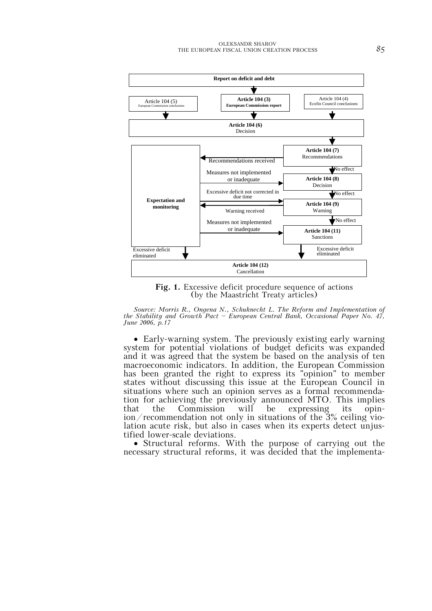

**Fig. 1.** Excessive deficit procedure sequence of actions (by the Maastricht Treaty articles)

*Source: Morris R., Ongena N., Schuknecht L. The Reform and Implementation of the Stability and Growth Pact — European Central Bank, Occasional Paper No. 47, June 2006, p.17*

• Early-warning system. The previously existing early warning system for potential violations of budget deficits was expanded and it was agreed that the system be based on the analysis of ten macroeconomic indicators. In addition, the European Commission has been granted the right to express its "opinion" to member states without discussing this issue at the European Council in situations where such an opinion serves as a formal recommendation for achieving the previously announced MTO. This implies<br>that the Commission will be expressing its opin- $\frac{1}{\pi}$  the Commission motor only in situations of the 3% ceiling violation acute risk, but also in cases when its experts detect unjus-

• Structural reforms. With the purpose of carrying out the necessary structural reforms, it was decided that the implementa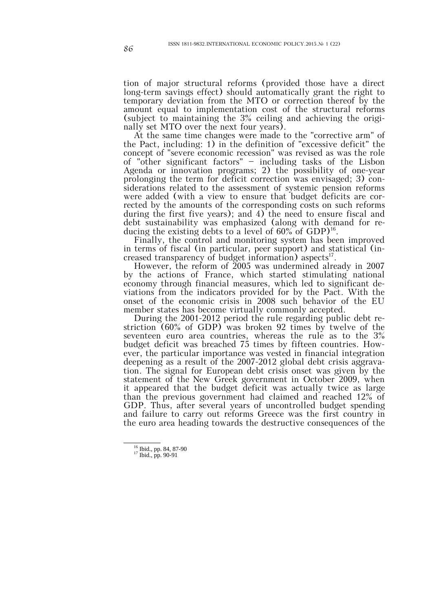tion of major structural reforms (provided those have a direct long-term savings effect) should automatically grant the right to temporary deviation from the MTO or correction thereof by the amount equal to implementation cost of the structural reforms (subject to maintaining the 3% ceiling and achieving the originally set MTO over the next four years).

At the same time changes were made to the "corrective arm" of the Pact, including: 1) in the definition of "excessive deficit" the concept of "severe economic recession" was revised as was the role of "other significant factors" — including tasks of the Lisbon Agenda or innovation programs; 2) the possibility of one-year prolonging the term for deficit correction was envisaged; 3) considerations related to the assessment of systemic pension reforms were added (with a view to ensure that budget deficits are corrected by the amounts of the corresponding costs on such reforms during the first five years); and 4) the need to ensure fiscal and debt sustainability was emphasized (along with demand for reducing the existing debts to a level of  $60\%$  of GDP)<sup>16</sup>.

Finally, the control and monitoring system has been improved in terms of fiscal (in particular, peer support) and statistical (increased transparency of budget information) aspects $^{17}$ .

However, the reform of 2005 was undermined already in 2007 by the actions of France, which started stimulating national economy through financial measures, which led to significant deviations from the indicators provided for by the Pact. With the onset of the economic crisis in 2008 such behavior of the EU member states has become virtually commonly accepted.

During the 2001-2012 period the rule regarding public debt restriction (60% of GDP) was broken 92 times by twelve of the seventeen euro area countries, whereas the rule as to the 3% budget deficit was breached 75 times by fifteen countries. However, the particular importance was vested in financial integration deepening as a result of the 2007-2012 global debt crisis aggravation. The signal for European debt crisis onset was given by the statement of the New Greek government in October 2009, when it appeared that the budget deficit was actually twice as large than the previous government had claimed and reached 12% of GDP. Thus, after several years of uncontrolled budget spending and failure to carry out reforms Greece was the first country in the euro area heading towards the destructive consequences of the

 $\frac{16}{16}$ 

<sup>&</sup>lt;sup>16</sup> Ibid., pp. 84, 87-90<br><sup>17</sup> Ibid., pp. 90-91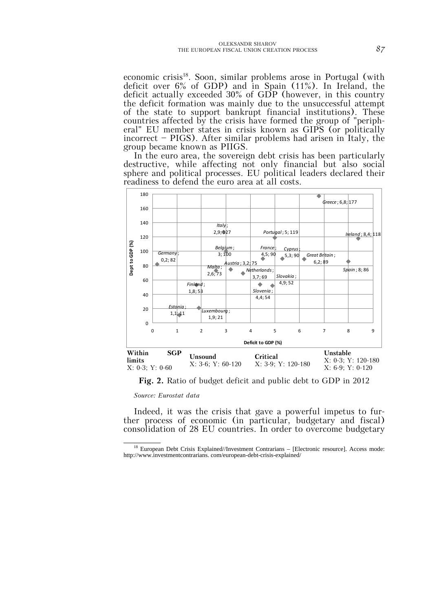economic crisis<sup>18</sup>. Soon, similar problems arose in Portugal (with deficit over 6% of GDP) and in Spain (11%). In Ireland, the deficit actually exceeded 30% of GDP (however, in this country the deficit formation was mainly due to the unsuccessful attempt of the state to support bankrupt financial institutions). These countries affected by the crisis have formed the group of "peripheral" EU member states in crisis known as GIPS (or politically incorrect — PIGS). After similar problems had arisen in Italy, the group became known as PIIGS.

In the euro area, the sovereign debt crisis has been particularly destructive, while affecting not only financial but also social sphere and political processes. EU political leaders declared their readiness to defend the euro area at all costs.



**Fig. 2.** Ratio of budget deficit and public debt to GDP in 2012

*Source: Eurostat data*

Indeed, it was the crisis that gave a powerful impetus to fur- ther process of economic (in particular, budgetary and fiscal) consolidation of 28 EU countries. In order to overcome budgetary

 <sup>18</sup> European Debt Crisis Explained//Investment Contrarians – [Electronic resource]. Access mode: http://www.investmentcontrarians. com/european-debt-crisis-explained/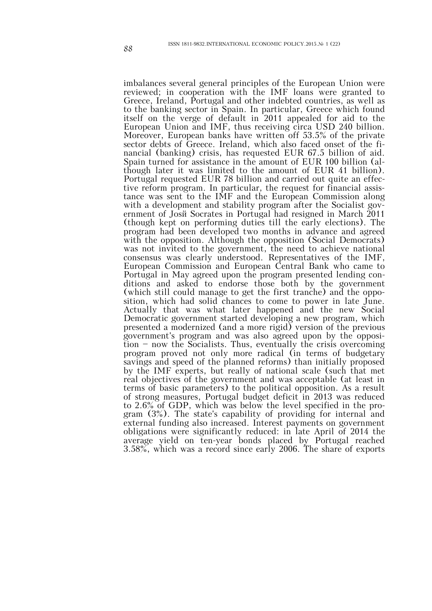imbalances several general principles of the European Union were reviewed; in cooperation with the IMF loans were granted to Greece, Ireland, Portugal and other indebted countries, as well as to the banking sector in Spain. In particular, Greece which found itself on the verge of default in 2011 appealed for aid to the European Union and IMF, thus receiving circa USD 240 billion. Moreover, European banks have written off 53.5% of the private sector debts of Greece. Ireland, which also faced onset of the financial (banking) crisis, has requested EUR 67.5 billion of aid. Spain turned for assistance in the amount of EUR 100 billion (although later it was limited to the amount of EUR 41 billion). Portugal requested EUR 78 billion and carried out quite an effective reform program. In particular, the request for financial assistance was sent to the IMF and the European Commission along with a development and stability program after the Socialist government of Josй Socrates in Portugal had resigned in March 2011 (though kept on performing duties till the early elections). The program had been developed two months in advance and agreed with the opposition. Although the opposition (Social Democrats) was not invited to the government, the need to achieve national consensus was clearly understood. Representatives of the IMF, European Commission and European Central Bank who came to Portugal in May agreed upon the program presented lending conditions and asked to endorse those both by the government (which still could manage to get the first tranche) and the opposition, which had solid chances to come to power in late June. Actually that was what later happened and the new Social Democratic government started developing a new program, which presented a modernized (and a more rigid) version of the previous government's program and was also agreed upon by the opposition — now the Socialists. Thus, eventually the crisis overcoming program proved not only more radical (in terms of budgetary savings and speed of the planned reforms) than initially proposed by the IMF experts, but really of national scale (such that met real objectives of the government and was acceptable (at least in terms of basic parameters) to the political opposition. As a result of strong measures, Portugal budget deficit in 2013 was reduced to 2.6% of GDP, which was below the level specified in the program (3%). The state's capability of providing for internal and external funding also increased. Interest payments on government obligations were significantly reduced: in late April of 2014 the average yield on ten-year bonds placed by Portugal reached 3.58%, which was a record since early 2006. The share of exports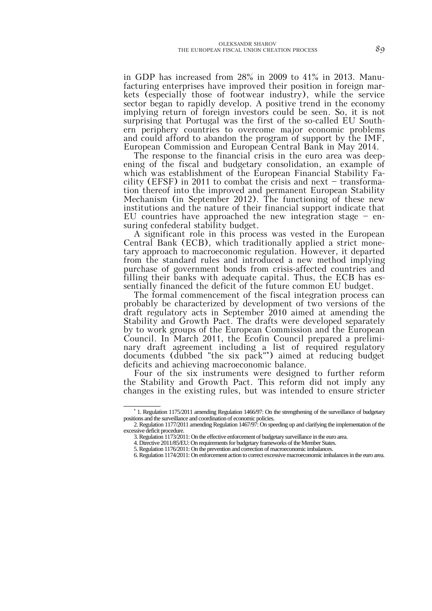in GDP has increased from 28% in 2009 to 41% in 2013. Manufacturing enterprises have improved their position in foreign markets (especially those of footwear industry), while the service sector began to rapidly develop. A positive trend in the economy implying return of foreign investors could be seen. So, it is not surprising that Portugal was the first of the so-called EU Southern periphery countries to overcome major economic problems and could afford to abandon the program of support by the IMF, European Commission and European Central Bank in May 2014.

The response to the financial crisis in the euro area was deepening of the fiscal and budgetary consolidation, an example of which was establishment of the European Financial Stability Facility (EFSF) in 2011 to combat the crisis and next  $-$  transformation thereof into the improved and permanent European Stability Mechanism (in September 2012). The functioning of these new institutions and the nature of their financial support indicate that EU countries have approached the new integration stage  $-$  ensuring confederal stability budget.

A significant role in this process was vested in the European Central Bank (ECB), which traditionally applied a strict monetary approach to macroeconomic regulation. However, it departed from the standard rules and introduced a new method implying purchase of government bonds from crisis-affected countries and filling their banks with adequate capital. Thus, the ECB has essentially financed the deficit of the future common EU budget.

The formal commencement of the fiscal integration process can probably be characterized by development of two versions of the draft regulatory acts in September 2010 aimed at amending the Stability and Growth Pact. The drafts were developed separately by to work groups of the European Commission and the European Council. In March 2011, the Ecofin Council prepared a preliminary draft agreement including a list of required regulatory documents (dubbed "the six pack"<sup>∗</sup> ) aimed at reducing budget deficits and achieving macroeconomic balance.

Four of the six instruments were designed to further reform the Stability and Growth Pact. This reform did not imply any changes in the existing rules, but was intended to ensure stricter

<sup>∗</sup> 1. Regulation 1175/2011 amending Regulation 1466/97: On the strengthening of the surveillance of budgetary positions and the surveillance and coordination of economic policies.

<sup>2.</sup> Regulation 1177/2011 amending Regulation 1467/97: On speeding up and clarifying the implementation of the excessive deficit procedure.

<sup>3.</sup> Regulation 1173/2011: On the effective enforcement of budgetary surveillance in the euro area.

<sup>4.</sup> Directive 2011/85/EU: On requirements for budgetary frameworks of the Member States.

<sup>5.</sup> Regulation 1176/2011: On the prevention and correction of macroeconomic imbalances.

<sup>6.</sup> Regulation 1174/2011: On enforcement action to correct excessive macroeconomic imbalances in the euro area.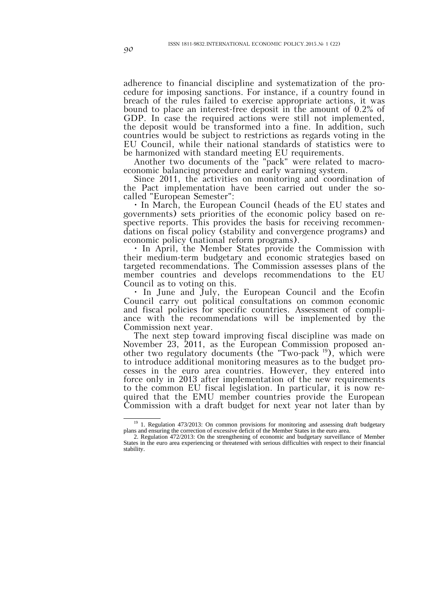adherence to financial discipline and systematization of the procedure for imposing sanctions. For instance, if a country found in breach of the rules failed to exercise appropriate actions, it was bound to place an interest-free deposit in the amount of 0.2% of GDP. In case the required actions were still not implemented, the deposit would be transformed into a fine. In addition, such countries would be subject to restrictions as regards voting in the EU Council, while their national standards of statistics were to be harmonized with standard meeting EU requirements.

Another two documents of the "pack" were related to macroeconomic balancing procedure and early warning system.

Since 2011, the activities on monitoring and coordination of the Pact implementation have been carried out under the socalled "European Semester":

• In March, the European Council (heads of the EU states and governments) sets priorities of the economic policy based on respective reports. This provides the basis for receiving recommendations on fiscal policy (stability and convergence programs) and economic policy (national reform programs).

• In April, the Member States provide the Commission with their medium-term budgetary and economic strategies based on targeted recommendations. The Commission assesses plans of the member countries and develops recommendations to the EU Council as to voting on this.

• In June and July, the European Council and the Ecofin Council carry out political consultations on common economic and fiscal policies for specific countries. Assessment of compliance with the recommendations will be implemented by the Commission next year.

The next step toward improving fiscal discipline was made on November 23, 2011, as the European Commission proposed another two regulatory documents (the "Two-pack 19), which were to introduce additional monitoring measures as to the budget processes in the euro area countries. However, they entered into force only in 2013 after implementation of the new requirements to the common EU fiscal legislation. In particular, it is now required that the EMU member countries provide the European Commission with a draft budget for next year not later than by

 <sup>19</sup> 1. Regulation 473/2013: On common provisions for monitoring and assessing draft budgetary plans and ensuring the correction of excessive deficit of the Member States in the euro area.

<sup>2.</sup> Regulation 472/2013: On the strengthening of economic and budgetary surveillance of Member States in the euro area experiencing or threatened with serious difficulties with respect to their financial stability.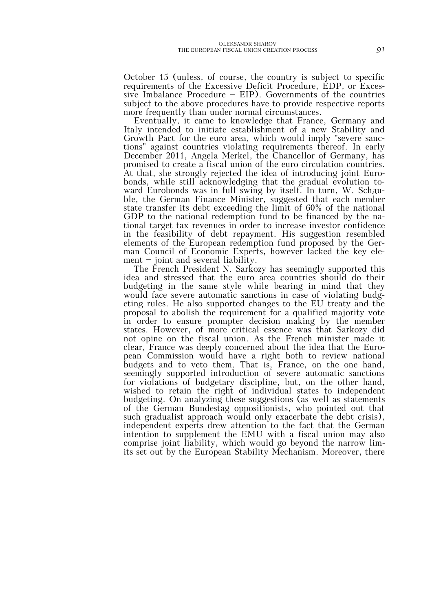October 15 (unless, of course, the country is subject to specific requirements of the Excessive Deficit Procedure, EDP, or Excessive Imbalance Procedure — EIP). Governments of the countries subject to the above procedures have to provide respective reports more frequently than under normal circumstances.

Eventually, it came to knowledge that France, Germany and Italy intended to initiate establishment of a new Stability and Growth Pact for the euro area, which would imply "severe sanctions" against countries violating requirements thereof. In early December 2011, Angela Merkel, the Chancellor of Germany, has promised to create a fiscal union of the euro circulation countries. At that, she strongly rejected the idea of introducing joint Eurobonds, while still acknowledging that the gradual evolution toward Eurobonds was in full swing by itself. In turn, W. Schдuble, the German Finance Minister, suggested that each member state transfer its debt exceeding the limit of 60% of the national GDP to the national redemption fund to be financed by the national target tax revenues in order to increase investor confidence in the feasibility of debt repayment. His suggestion resembled elements of the European redemption fund proposed by the German Council of Economic Experts, however lacked the key ele $ment - joint$  and several liability.

The French President N. Sarkozy has seemingly supported this idea and stressed that the euro area countries should do their budgeting in the same style while bearing in mind that they would face severe automatic sanctions in case of violating budgeting rules. He also supported changes to the EU treaty and the proposal to abolish the requirement for a qualified majority vote in order to ensure prompter decision making by the member states. However, of more critical essence was that Sarkozy did not opine on the fiscal union. As the French minister made it clear, France was deeply concerned about the idea that the European Commission would have a right both to review national budgets and to veto them. That is, France, on the one hand, seemingly supported introduction of severe automatic sanctions for violations of budgetary discipline, but, on the other hand, wished to retain the right of individual states to independent budgeting. On analyzing these suggestions (as well as statements of the German Bundestag oppositionists, who pointed out that such gradualist approach would only exacerbate the debt crisis), independent experts drew attention to the fact that the German intention to supplement the EMU with a fiscal union may also comprise joint liability, which would go beyond the narrow limits set out by the European Stability Mechanism. Moreover, there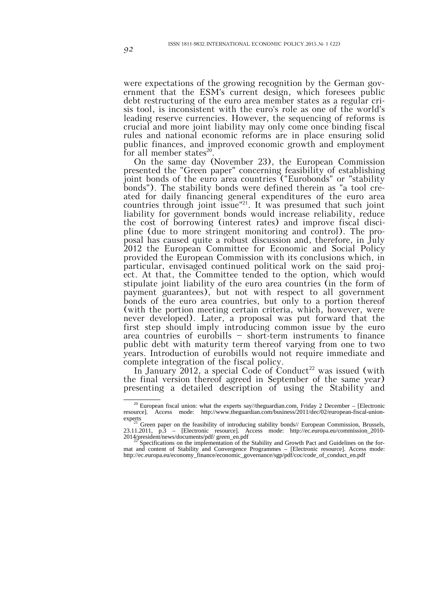were expectations of the growing recognition by the German government that the ESM's current design, which foresees public debt restructuring of the euro area member states as a regular crisis tool, is inconsistent with the euro's role as one of the world's leading reserve currencies. However, the sequencing of reforms is crucial and more joint liability may only come once binding fiscal rules and national economic reforms are in place ensuring solid public finances, and improved economic growth and employment for all member states $^{20}$ .

On the same day (November 23), the European Commission presented the "Green paper" concerning feasibility of establishing joint bonds of the euro area countries ("Eurobonds" or "stability bonds"). The stability bonds were defined therein as "a tool created for daily financing general expenditures of the euro area countries through joint issue"<sup>21</sup>. It was presumed that such joint liability for government bonds would increase reliability, reduce the cost of borrowing (interest rates) and improve fiscal discipline (due to more stringent monitoring and control). The proposal has caused quite a robust discussion and, therefore, in July 2012 the European Committee for Economic and Social Policy provided the European Commission with its conclusions which, in particular, envisaged continued political work on the said project. At that, the Committee tended to the option, which would stipulate joint liability of the euro area countries (in the form of payment guarantees), but not with respect to all government bonds of the euro area countries, but only to a portion thereof (with the portion meeting certain criteria, which, however, were never developed). Later, a proposal was put forward that the first step should imply introducing common issue by the euro area countries of eurobills — short-term instruments to finance public debt with maturity term thereof varying from one to two years. Introduction of eurobills would not require immediate and complete integration of the fiscal policy.

In January 2012, a special Code of Conduct<sup>22</sup> was issued (with the final version thereof agreed in September of the same year) presenting a detailed description of using the Stability and

<sup>&</sup>lt;sup>20</sup> European fiscal union: what the experts say//theguardian.com, Friday 2 December – [Electronic resource]. Access mode: http://www.theguardian.com/business/2011/dec/02/european-fiscal-union-

experts<br><sup>21</sup> Green paper on the feasibility of introducing stability bonds// European Commission, Brussels, 23.11.2011, p.3 – [Electronic resource]. Access mode: http://ec.europa.eu/commission\_2010-  $2014$ /president/news/documents/pdf/ green\_en.pdf

Specifications on the implementation of the Stability and Growth Pact and Guidelines on the format and content of Stability and Convergence Programmes – [Electronic resource]. Access mode: http://ec.europa.eu/economy\_finance/economic\_governance/sgp/pdf/coc/code\_of\_conduct\_en.pdf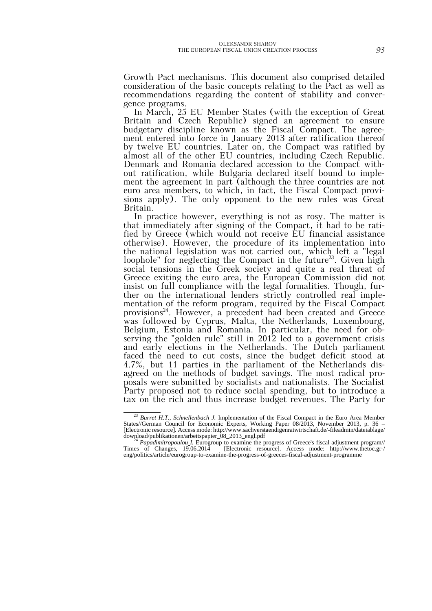Growth Pact mechanisms. This document also comprised detailed consideration of the basic concepts relating to the Pact as well as recommendations regarding the content of stability and convergence programs.

In March, 25 EU Member States (with the exception of Great Britain and Czech Republic) signed an agreement to ensure budgetary discipline known as the Fiscal Compact. The agreement entered into force in January 2013 after ratification thereof by twelve EU countries. Later on, the Compact was ratified by almost all of the other EU countries, including Czech Republic. Denmark and Romania declared accession to the Compact without ratification, while Bulgaria declared itself bound to implement the agreement in part (although the three countries are not euro area members, to which, in fact, the Fiscal Compact provisions apply). The only opponent to the new rules was Great Britain.

In practice however, everything is not as rosy. The matter is that immediately after signing of the Compact, it had to be ratified by Greece (which would not receive EU financial assistance otherwise). However, the procedure of its implementation into the national legislation was not carried out, which left a "legal loophole" for neglecting the Compact in the future<sup>23</sup>. Given high social tensions in the Greek society and quite a real threat of Greece exiting the euro area, the European Commission did not insist on full compliance with the legal formalities. Though, further on the international lenders strictly controlled real implementation of the reform program, required by the Fiscal Compact provisions<sup>24</sup>. However, a precedent had been created and Greece was followed by Cyprus, Malta, the Netherlands, Luxembourg, Belgium, Estonia and Romania. In particular, the need for observing the "golden rule" still in 2012 led to a government crisis and early elections in the Netherlands. The Dutch parliament faced the need to cut costs, since the budget deficit stood at 4.7%, but 11 parties in the parliament of the Netherlands disagreed on the methods of budget savings. The most radical proposals were submitted by socialists and nationalists. The Socialist Party proposed not to reduce social spending, but to introduce a tax on the rich and thus increase budget revenues. The Party for

<sup>&</sup>lt;sup>23</sup> Burret H.T., Schnellenbach J. Implementation of the Fiscal Compact in the Euro Area Member States//German Council for Economic Experts, Working Paper 08/2013, November 2013, p. 36 – [Electronic resource]. Access mode: http://www.sachverstaendigenratwirtschaft.de/-fileadmin/dateiablage/

download/publikationen/arbeitspapier\_08\_2013\_engl.pdf <sup>24</sup> *Papadimitropoulou I.* Eurogroup to examine the progress of Greece's fiscal adjustment program// Times of Changes, 19.06.2014 – [Electronic resource]. Access mode: http://www.thetoc.gr-/ eng/politics/article/eurogroup-to-examine-the-progress-of-greeces-fiscal-adjustment-programme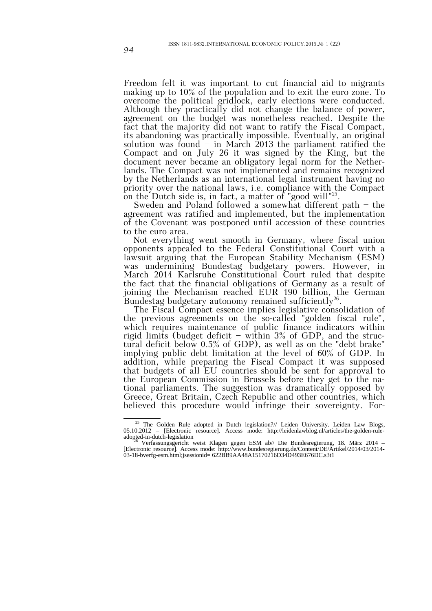Freedom felt it was important to cut financial aid to migrants making up to 10% of the population and to exit the euro zone. To overcome the political gridlock, early elections were conducted. Although they practically did not change the balance of power, agreement on the budget was nonetheless reached. Despite the fact that the majority did not want to ratify the Fiscal Compact, its abandoning was practically impossible. Eventually, an original solution was found  $-$  in March 2013 the parliament ratified the Compact and on July 26 it was signed by the King, but the document never became an obligatory legal norm for the Netherlands. The Compact was not implemented and remains recognized by the Netherlands as an international legal instrument having no priority over the national laws, i.e. compliance with the Compact on the Dutch side is, in fact, a matter of "good will"<sup>25</sup>.

Sweden and Poland followed a somewhat different path — the agreement was ratified and implemented, but the implementation of the Covenant was postponed until accession of these countries to the euro area.

Not everything went smooth in Germany, where fiscal union opponents appealed to the Federal Constitutional Court with a lawsuit arguing that the European Stability Mechanism (ESM) was undermining Bundestag budgetary powers. However, in March 2014 Karlsruhe Constitutional Court ruled that despite the fact that the financial obligations of Germany as a result of joining the Mechanism reached EUR 190 billion, the German Bundestag budgetary autonomy remained sufficiently<sup>26</sup>.

The Fiscal Compact essence implies legislative consolidation of the previous agreements on the so-called "golden fiscal rule", which requires maintenance of public finance indicators within rigid limits (budget deficit — within 3% of GDP, and the structural deficit below 0.5% of GDP), as well as on the "debt brake" implying public debt limitation at the level of 60% of GDP. In addition, while preparing the Fiscal Compact it was supposed that budgets of all EU countries should be sent for approval to the European Commission in Brussels before they get to the national parliaments. The suggestion was dramatically opposed by Greece, Great Britain, Czech Republic and other countries, which believed this procedure would infringe their sovereignty. For-

<sup>&</sup>lt;sup>25</sup> The Golden Rule adopted in Dutch legislation?// Leiden University. Leiden Law Blogs, 05.10.2012 – [Electronic resource]. Access mode: http://leidenlawblog.nl/articles/the-golden-ruleadopted-in-dutch-legislation <sup>26</sup>

Verfassungsgericht weist Klagen gegen ESM ab// Die Bundesregierung, 18. März 2014 – [Electronic resource]. Access mode: http://www.bundesregierung.de/Content/DE/Artikel/2014/03/2014- 03-18-bverfg-esm.html;jsessionid= 622BB9AA48A15170216D34D493E676DC.s3t1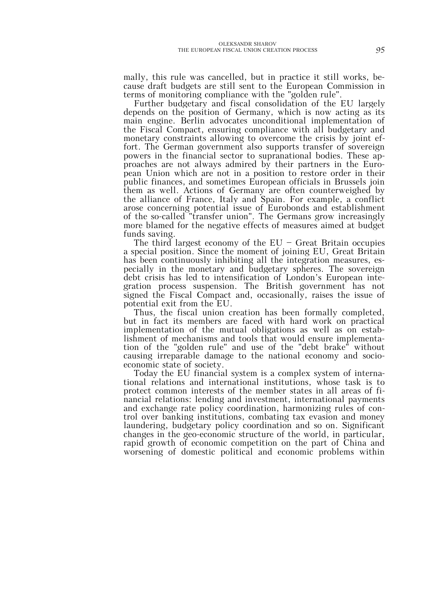mally, this rule was cancelled, but in practice it still works, because draft budgets are still sent to the European Commission in terms of monitoring compliance with the "golden rule".

Further budgetary and fiscal consolidation of the EU largely depends on the position of Germany, which is now acting as its main engine. Berlin advocates unconditional implementation of the Fiscal Compact, ensuring compliance with all budgetary and monetary constraints allowing to overcome the crisis by joint effort. The German government also supports transfer of sovereign powers in the financial sector to supranational bodies. These approaches are not always admired by their partners in the European Union which are not in a position to restore order in their public finances, and sometimes European officials in Brussels join them as well. Actions of Germany are often counterweighed by the alliance of France, Italy and Spain. For example, a conflict arose concerning potential issue of Eurobonds and establishment of the so-called "transfer union". The Germans grow increasingly more blamed for the negative effects of measures aimed at budget funds saving.

The third largest economy of the  $EU$  – Great Britain occupies a special position. Since the moment of joining EU, Great Britain has been continuously inhibiting all the integration measures, especially in the monetary and budgetary spheres. The sovereign debt crisis has led to intensification of London's European integration process suspension. The British government has not signed the Fiscal Compact and, occasionally, raises the issue of potential exit from the EU.

Thus, the fiscal union creation has been formally completed, but in fact its members are faced with hard work on practical implementation of the mutual obligations as well as on establishment of mechanisms and tools that would ensure implementation of the "golden rule" and use of the "debt brake" without causing irreparable damage to the national economy and socioeconomic state of society.

Today the EU financial system is a complex system of international relations and international institutions, whose task is to protect common interests of the member states in all areas of financial relations: lending and investment, international payments and exchange rate policy coordination, harmonizing rules of control over banking institutions, combating tax evasion and money laundering, budgetary policy coordination and so on. Significant changes in the geo-economic structure of the world, in particular, rapid growth of economic competition on the part of China and worsening of domestic political and economic problems within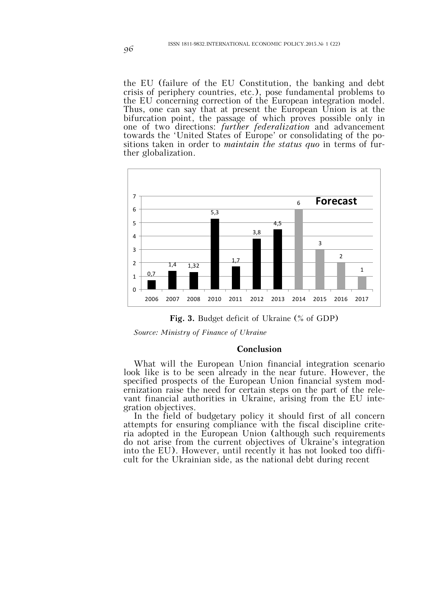the EU (failure of the EU Constitution, the banking and debt crisis of periphery countries, etc.), pose fundamental problems to the EU concerning correction of the European integration model. Thus, one can say that at present the European Union is at the bifurcation point, the passage of which proves possible only in one of two directions: *further federalization* and advancement towards the 'United States of Europe' or consolidating of the positions taken in order to *maintain the status quo* in terms of further globalization.



**Fig. 3.** Budget deficit of Ukraine (% of GDP)

*Source: Ministry of Finance of Ukraine*

#### **Conclusion**

What will the European Union financial integration scenario look like is to be seen already in the near future. However, the specified prospects of the European Union financial system modernization raise the need for certain steps on the part of the relevant financial authorities in Ukraine, arising from the EU integration objectives.

In the field of budgetary policy it should first of all concern attempts for ensuring compliance with the fiscal discipline criteria adopted in the European Union (although such requirements do not arise from the current objectives of Ukraine's integration into the EU). However, until recently it has not looked too difficult for the Ukrainian side, as the national debt during recent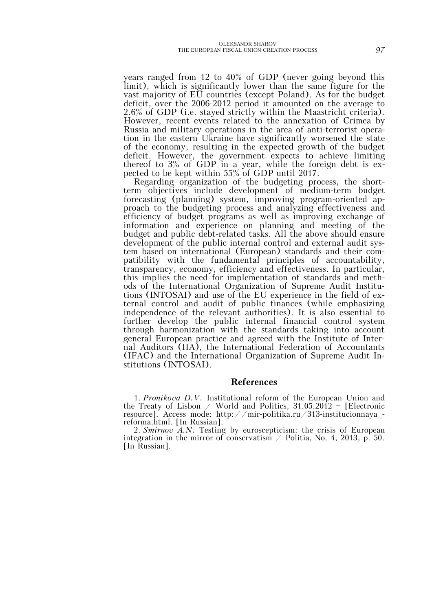years ranged from 12 to 40% of GDP (never going beyond this limit), which is significantly lower than the same figure for the vast majority of EU countries (except Poland). As for the budget deficit, over the 2006-2012 period it amounted on the average to 2.6% of GDP (i.e. stayed strictly within the Maastricht criteria). However, recent events related to the annexation of Crimea by Russia and military operations in the area of anti-terrorist operation in the eastern Ukraine have significantly worsened the state of the economy, resulting in the expected growth of the budget deficit. However, the government expects to achieve limiting thereof to 3% of GDP in a year, while the foreign debt is expected to be kept within 55% of GDP until 2017.

Regarding organization of the budgeting process, the shortterm objectives include development of medium-term budget forecasting (planning) system, improving program-oriented approach to the budgeting process and analyzing effectiveness and efficiency of budget programs as well as improving exchange of information and experience on planning and meeting of the budget and public debt-related tasks. All the above should ensure development of the public internal control and external audit system based on international (European) standards and their compatibility with the fundamental principles of accountability, transparency, economy, efficiency and effectiveness. In particular, this implies the need for implementation of standards and methods of the International Organization of Supreme Audit Institutions (INTOSAI) and use of the EU experience in the field of external control and audit of public finances (while emphasizing independence of the relevant authorities). It is also essential to further develop the public internal financial control system through harmonization with the standards taking into account general European practice and agreed with the Institute of Internal Auditors (IIA), the International Federation of Accountants (IFAC) and the International Organization of Supreme Audit Institutions (INTOSAI).

### **References**

1. *Pronikova D.V.* Institutional reform of the European Union and the Treaty of Lisbon / World and Politics,  $31.05.2012$  - [Electronic resource]. Access mode: http://mir-politika.ru/313-institucionnaya\_ reforma.html. [In Russian].

2. *Smirnov A.N.* Testing by euroscepticism: the crisis of European integration in the mirror of conservatism  $\angle$  Politia, No. 4, 2013, p. 50. [In Russian].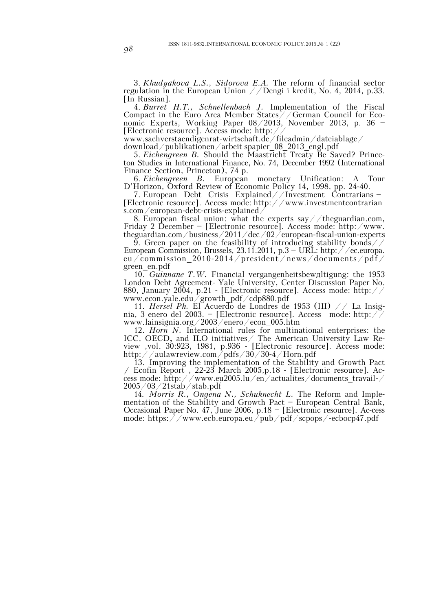3. *Khudyakova L.S., Sidorova E.A.* The reform of financial sector regulation in the European Union  $//$ Dengi i kredit, No. 4, 2014, p.33. [In Russian].

4. *Burret H.T., Schnellenbach J.* Implementation of the Fiscal Compact in the Euro Area Member States//German Council for Economic Experts, Working Paper 08/2013, November 2013, p. 36 — [Electronic resource]. Access mode: http://

www.sachverstaendigenrat-wirtschaft.de/fileadmin/dateiablage/

download/publikationen/arbeit spapier\_08\_2013\_engl.pdf

5. *Eichengreen B.* Should the Maastricht Treaty Be Saved? Princeton Studies in International Finance, No. 74, December 1992 (International Finance Section, Princeton), 74 p.

6. *Eichengreen B.* European monetary Unification: A Tour D'Horizon, Oxford Review of Economic Policy 14, 1998, pp. 24-40.

7. European Debt Crisis Explained//Investment Contrarians — [Electronic resource]. Access mode: http://www.investmentcontrarian s.com/european-debt-crisis-explained/

8. European fiscal union: what the experts say //theguardian.com, Friday 2 December – [Electronic resource]. Access mode: http:/www. theguardian.com/business/2011/dec/02/european-fiscal-union-experts

9. Green paper on the feasibility of introducing stability bonds / European Commission, Brussels, 23.11.2011, p.3 – URL: http://ec.europa. eu/commission\_2010-2014/president/news/documents/pdf/ green\_en.pdf

10. *Guinnane T.W.* Financial vergangenheitsbewдltigung: the 1953 London Debt Agreement- Yale University, Center Discussion Paper No. 880, January 2004, p.21 - [Electronic resource]. Access mode: http:// www.econ.yale.edu/growth\_pdf/cdp880.pdf

11. *Hersel Ph.* El Acuerdo de Londres de 1953 (III) // La Insignia, 3 enero del 2003. — [Electronic resource]. Access mode: http:// www.lainsignia.org/2003/enero/econ\_005.htm

12. *Horn N.* International rules for multinational enterprises: the ICC, OECD**,** and ILO initiatives/ The American University Law Review ,vol. 30:923, 1981, p.936 - [Electronic resource]. Access mode: http://aulawreview.com/pdfs/30/30-4/Horn.pdf

13. Improving the implementation of the Stability and Growth Pact **/** Ecofin Report , 22-23 March 2005,p.18 - [Electronic resource]. Access mode: http://www.eu2005.lu/en/actualites/documents\_travail-/ 2005/03/21stab/stab.pdf

14. *Morris R., Ongena N., Schuknecht L.* The Reform and Implementation of the Stability and Growth Pact — European Central Bank, Occasional Paper No. 47, June 2006, p.18 — [Electronic resource]. Ac-cess mode: https://www.ecb.europa.eu/pub/pdf/scpops/-ecbocp47.pdf